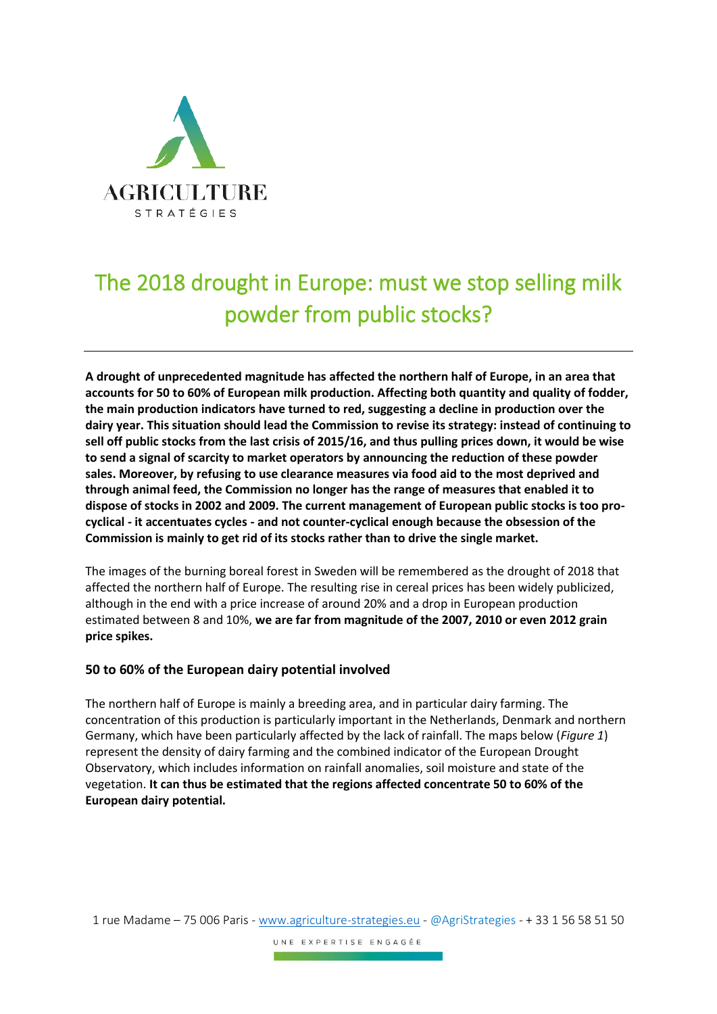

# The 2018 drought in Europe: must we stop selling milk powder from public stocks?

**A drought of unprecedented magnitude has affected the northern half of Europe, in an area that accounts for 50 to 60% of European milk production. Affecting both quantity and quality of fodder, the main production indicators have turned to red, suggesting a decline in production over the dairy year. This situation should lead the Commission to revise its strategy: instead of continuing to sell off public stocks from the last crisis of 2015/16, and thus pulling prices down, it would be wise to send a signal of scarcity to market operators by announcing the reduction of these powder sales. Moreover, by refusing to use clearance measures via food aid to the most deprived and through animal feed, the Commission no longer has the range of measures that enabled it to dispose of stocks in 2002 and 2009. The current management of European public stocks is too procyclical - it accentuates cycles - and not counter-cyclical enough because the obsession of the Commission is mainly to get rid of its stocks rather than to drive the single market.**

The images of the burning boreal forest in Sweden will be remembered as the drought of 2018 that affected the northern half of Europe. The resulting rise in cereal prices has been widely publicized, although in the end with a price increase of around 20% and a drop in European production estimated between 8 and 10%, **we are far from magnitude of the 2007, 2010 or even 2012 grain price spikes.**

## **50 to 60% of the European dairy potential involved**

The northern half of Europe is mainly a breeding area, and in particular dairy farming. The concentration of this production is particularly important in the Netherlands, Denmark and northern Germany, which have been particularly affected by the lack of rainfall. The maps below (*Figure 1*) represent the density of dairy farming and the combined indicator of the European Drought Observatory, which includes information on rainfall anomalies, soil moisture and state of the vegetation. **It can thus be estimated that the regions affected concentrate 50 to 60% of the European dairy potential.**

1 rue Madame – 75 006 Paris - [www.agriculture-strategies.eu](http://www.agriculture-strategies.eu/) - @AgriStrategies - + 33 1 56 58 51 50

UNE EXPERTISE ENGAGÉE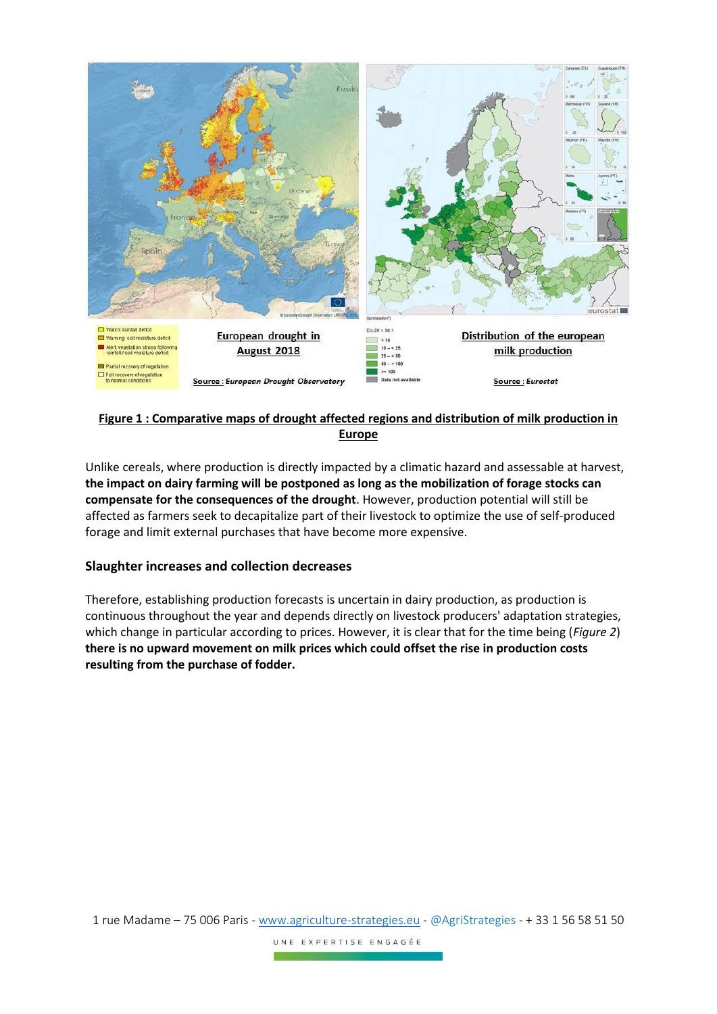

## **Figure 1 : Comparative maps of drought affected regions and distribution of milk production in Europe**

Unlike cereals, where production is directly impacted by a climatic hazard and assessable at harvest, **the impact on dairy farming will be postponed as long as the mobilization of forage stocks can compensate for the consequences of the drought**. However, production potential will still be affected as farmers seek to decapitalize part of their livestock to optimize the use of self-produced forage and limit external purchases that have become more expensive.

## **Slaughter increases and collection decreases**

Therefore, establishing production forecasts is uncertain in dairy production, as production is continuous throughout the year and depends directly on livestock producers' adaptation strategies, which change in particular according to prices. However, it is clear that for the time being (*Figure 2*) **there is no upward movement on milk prices which could offset the rise in production costs resulting from the purchase of fodder.**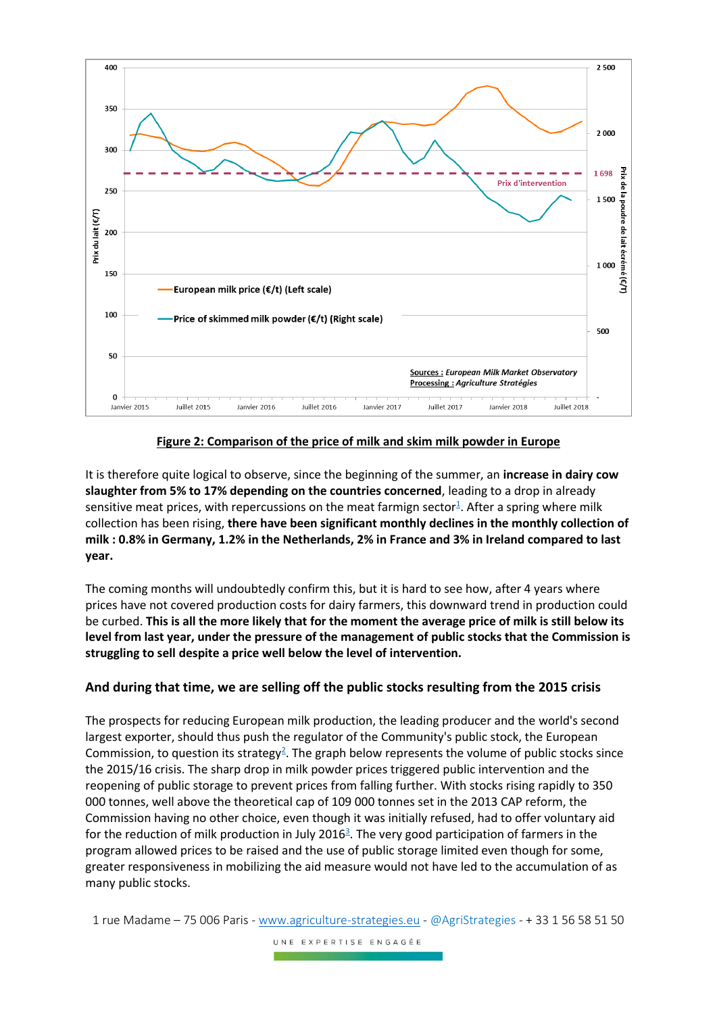

#### **Figure 2: Comparison of the price of milk and skim milk powder in Europe**

It is therefore quite logical to observe, since the beginning of the summer, an **increase in dairy cow slaughter from 5% to 17% depending on the countries concerned**, leading to a drop in already sensitive meat prices, with repercussions on the meat farmign sector<sup>1</sup>. After a spring where milk collection has been rising, **there have been significant monthly declines in the monthly collection of milk : 0.8% in Germany, 1.2% in the Netherlands, 2% in France and 3% in Ireland compared to last year.**

The coming months will undoubtedly confirm this, but it is hard to see how, after 4 years where prices have not covered production costs for dairy farmers, this downward trend in production could be curbed. **This is all the more likely that for the moment the average price of milk is still below its level from last year, under the pressure of the management of public stocks that the Commission is struggling to sell despite a price well below the level of intervention.**

## **And during that time, we are selling off the public stocks resulting from the 2015 crisis**

The prospects for reducing European milk production, the leading producer and the world's second largest exporter, should thus push the regulator of the Community's public stock, the European Commission, to question its strategy<sup>2</sup>. The graph below represents the volume of public stocks since the 2015/16 crisis. The sharp drop in milk powder prices triggered public intervention and the reopening of public storage to prevent prices from falling further. With stocks rising rapidly to 350 000 tonnes, well above the theoretical cap of 109 000 tonnes set in the 2013 CAP reform, the Commission having no other choice, even though it was initially refused, had to offer voluntary aid for the reduction of milk production in July 2016<sup>3</sup>. The very good participation of farmers in the program allowed prices to be raised and the use of public storage limited even though for some, greater responsiveness in mobilizing the aid measure would not have led to the accumulation of as many public stocks.

<sup>1</sup> rue Madame – 75 006 Paris - [www.agriculture-strategies.eu](http://www.agriculture-strategies.eu/) - @AgriStrategies - + 33 1 56 58 51 50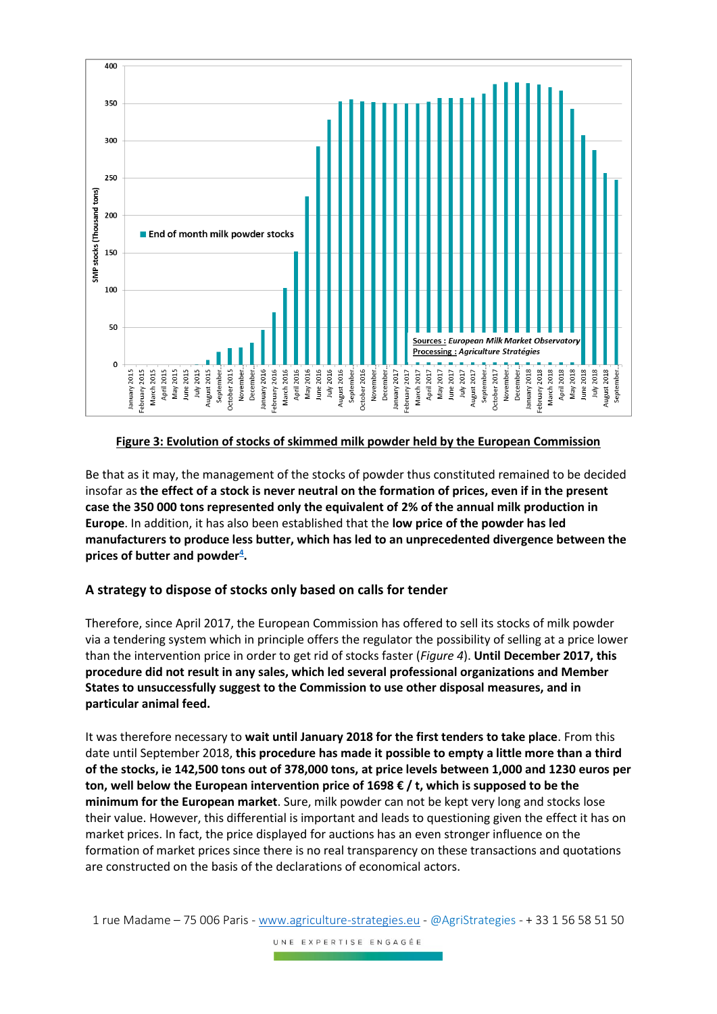

## **Figure 3: Evolution of stocks of skimmed milk powder held by the European Commission**

Be that as it may, the management of the stocks of powder thus constituted remained to be decided insofar as **the effect of a stock is never neutral on the formation of prices, even if in the present case the 350 000 tons represented only the equivalent of 2% of the annual milk production in Europe**. In addition, it has also been established that the **low price of the powder has led manufacturers to produce less butter, which has led to an unprecedented divergence between the prices of butter and powder<sup>4</sup> .**

#### **A strategy to dispose of stocks only based on calls for tender**

Therefore, since April 2017, the European Commission has offered to sell its stocks of milk powder via a tendering system which in principle offers the regulator the possibility of selling at a price lower than the intervention price in order to get rid of stocks faster (*Figure 4*). **Until December 2017, this procedure did not result in any sales, which led several professional organizations and Member States to unsuccessfully suggest to the Commission to use other disposal measures, and in particular animal feed.**

It was therefore necessary to **wait until January 2018 for the first tenders to take place**. From this date until September 2018, **this procedure has made it possible to empty a little more than a third of the stocks, ie 142,500 tons out of 378,000 tons, at price levels between 1,000 and 1230 euros per ton, well below the European intervention price of 1698 € / t, which is supposed to be the minimum for the European market**. Sure, milk powder can not be kept very long and stocks lose their value. However, this differential is important and leads to questioning given the effect it has on market prices. In fact, the price displayed for auctions has an even stronger influence on the formation of market prices since there is no real transparency on these transactions and quotations are constructed on the basis of the declarations of economical actors.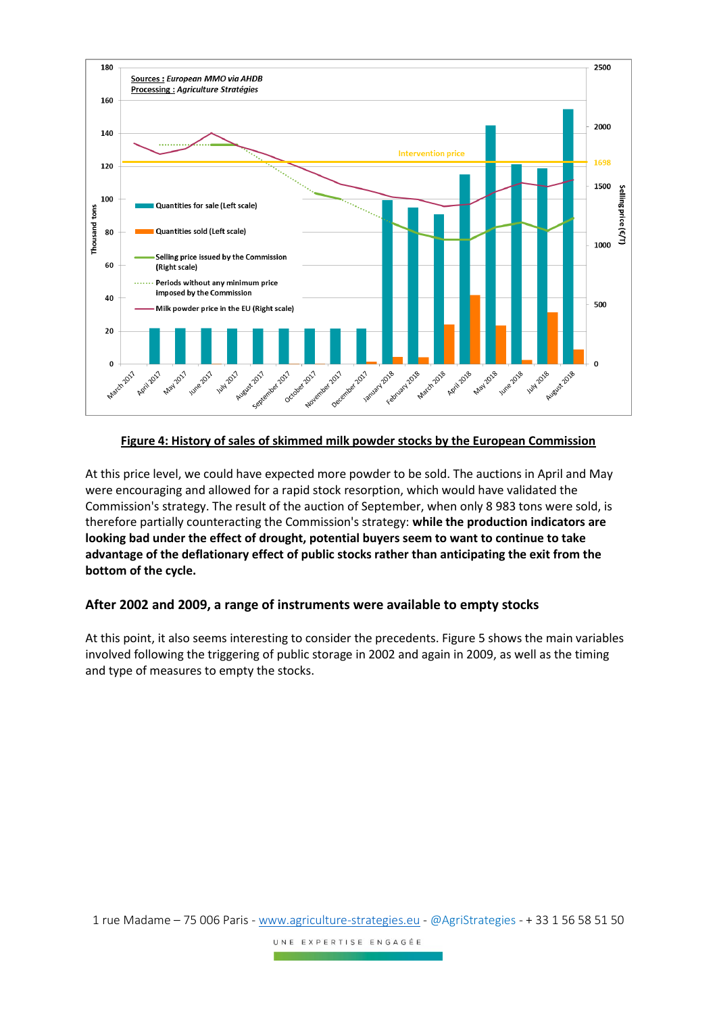

#### **Figure 4: History of sales of skimmed milk powder stocks by the European Commission**

At this price level, we could have expected more powder to be sold. The auctions in April and May were encouraging and allowed for a rapid stock resorption, which would have validated the Commission's strategy. The result of the auction of September, when only 8 983 tons were sold, is therefore partially counteracting the Commission's strategy: **while the production indicators are looking bad under the effect of drought, potential buyers seem to want to continue to take advantage of the deflationary effect of public stocks rather than anticipating the exit from the bottom of the cycle.**

#### **After 2002 and 2009, a range of instruments were available to empty stocks**

At this point, it also seems interesting to consider the precedents. Figure 5 shows the main variables involved following the triggering of public storage in 2002 and again in 2009, as well as the timing and type of measures to empty the stocks.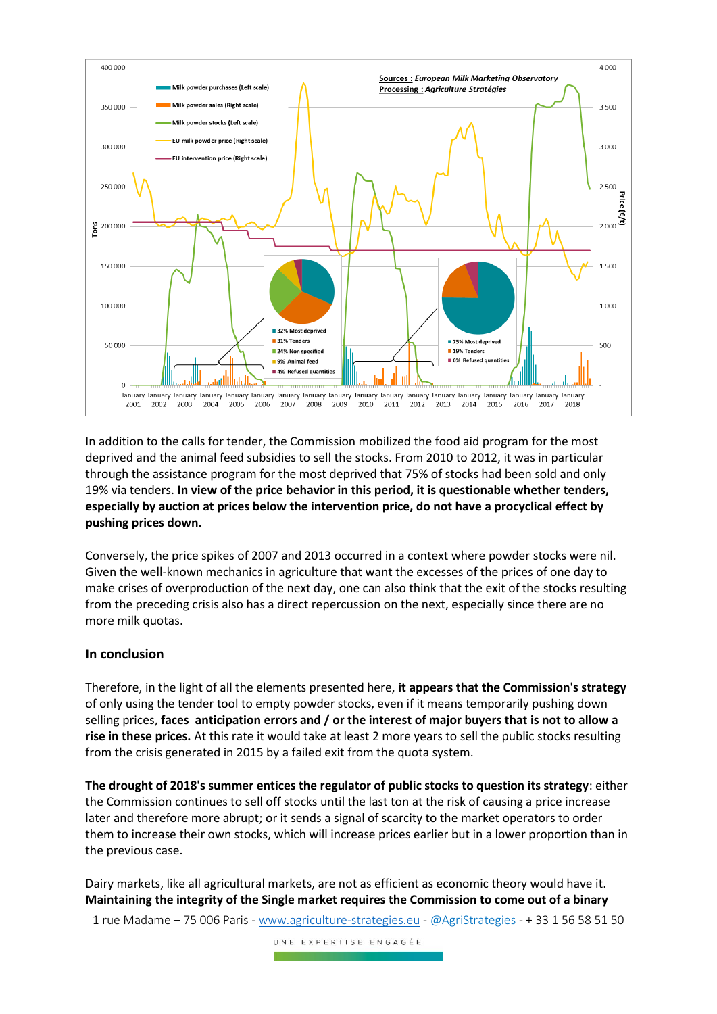

In addition to the calls for tender, the Commission mobilized the food aid program for the most deprived and the animal feed subsidies to sell the stocks. From 2010 to 2012, it was in particular through the assistance program for the most deprived that 75% of stocks had been sold and only 19% via tenders. **In view of the price behavior in this period, it is questionable whether tenders, especially by auction at prices below the intervention price, do not have a procyclical effect by pushing prices down.**

Conversely, the price spikes of 2007 and 2013 occurred in a context where powder stocks were nil. Given the well-known mechanics in agriculture that want the excesses of the prices of one day to make crises of overproduction of the next day, one can also think that the exit of the stocks resulting from the preceding crisis also has a direct repercussion on the next, especially since there are no more milk quotas.

#### **In conclusion**

Therefore, in the light of all the elements presented here, **it appears that the Commission's strategy** of only using the tender tool to empty powder stocks, even if it means temporarily pushing down selling prices, **faces anticipation errors and / or the interest of major buyers that is not to allow a rise in these prices.** At this rate it would take at least 2 more years to sell the public stocks resulting from the crisis generated in 2015 by a failed exit from the quota system.

**The drought of 2018's summer entices the regulator of public stocks to question its strategy**: either the Commission continues to sell off stocks until the last ton at the risk of causing a price increase later and therefore more abrupt; or it sends a signal of scarcity to the market operators to order them to increase their own stocks, which will increase prices earlier but in a lower proportion than in the previous case.

Dairy markets, like all agricultural markets, are not as efficient as economic theory would have it. **Maintaining the integrity of the Single market requires the Commission to come out of a binary**